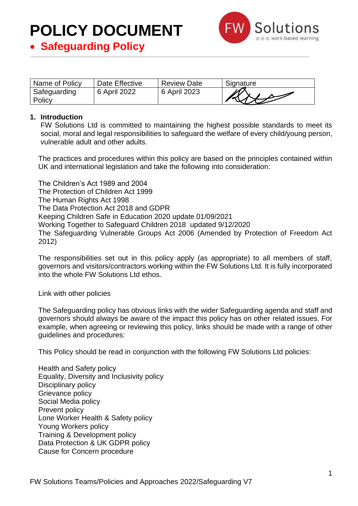

• **Safeguarding Policy**

| Name of Policy         | Date Effective | <b>Review Date</b> | Signature |
|------------------------|----------------|--------------------|-----------|
| Safeguarding<br>Policy | 6 April 2022   | 6 April 2023       |           |

#### **1. Introduction**

FW Solutions Ltd is committed to maintaining the highest possible standards to meet its social, moral and legal responsibilities to safeguard the welfare of every child/young person, vulnerable adult and other adults.

The practices and procedures within this policy are based on the principles contained within UK and international legislation and take the following into consideration:

The Children's Act 1989 and 2004 The Protection of Children Act 1999 The Human Rights Act 1998 The Data Protection Act 2018 and GDPR Keeping Children Safe in Education 2020 update 01/09/2021 Working Together to Safeguard Children 2018 updated 9/12/2020 The Safeguarding Vulnerable Groups Act 2006 (Amended by Protection of Freedom Act 2012)

The responsibilities set out in this policy apply (as appropriate) to all members of staff, governors and visitors/contractors working within the FW Solutions Ltd. It is fully incorporated into the whole FW Solutions Ltd ethos.

Link with other policies

The Safeguarding policy has obvious links with the wider Safeguarding agenda and staff and governors should always be aware of the impact this policy has on other related issues. For example, when agreeing or reviewing this policy, links should be made with a range of other guidelines and procedures:

This Policy should be read in conjunction with the following FW Solutions Ltd policies:

Health and Safety policy Equality, Diversity and Inclusivity policy Disciplinary policy Grievance policy Social Media policy Prevent policy Lone Worker Health & Safety policy Young Workers policy Training & Development policy Data Protection & UK GDPR policy Cause for Concern procedure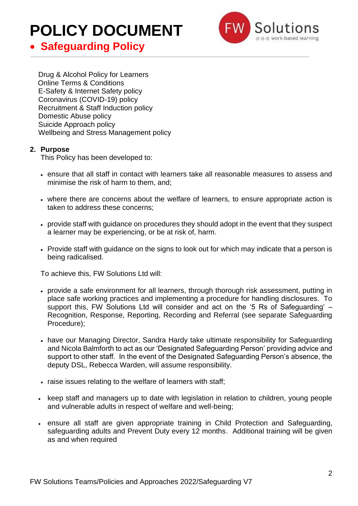

### • **Safeguarding Policy**

Drug & Alcohol Policy for Learners Online Terms & Conditions E-Safety & Internet Safety policy Coronavirus (COVID-19) policy Recruitment & Staff Induction policy Domestic Abuse policy Suicide Approach policy Wellbeing and Stress Management policy

#### **2. Purpose**

This Policy has been developed to:

- ensure that all staff in contact with learners take all reasonable measures to assess and minimise the risk of harm to them, and;
- where there are concerns about the welfare of learners, to ensure appropriate action is taken to address these concerns;
- provide staff with guidance on procedures they should adopt in the event that they suspect a learner may be experiencing, or be at risk of, harm.
- Provide staff with quidance on the signs to look out for which may indicate that a person is being radicalised.

To achieve this, FW Solutions Ltd will:

- provide a safe environment for all learners, through thorough risk assessment, putting in place safe working practices and implementing a procedure for handling disclosures. To support this, FW Solutions Ltd will consider and act on the '5 Rs of Safeguarding' – Recognition, Response, Reporting, Recording and Referral (see separate Safeguarding Procedure);
- have our Managing Director, Sandra Hardy take ultimate responsibility for Safeguarding and Nicola Balmforth to act as our 'Designated Safeguarding Person' providing advice and support to other staff. In the event of the Designated Safeguarding Person's absence, the deputy DSL, Rebecca Warden, will assume responsibility.
- raise issues relating to the welfare of learners with staff;
- keep staff and managers up to date with legislation in relation to children, young people and vulnerable adults in respect of welfare and well-being;
- ensure all staff are given appropriate training in Child Protection and Safeguarding, safeguarding adults and Prevent Duty every 12 months. Additional training will be given as and when required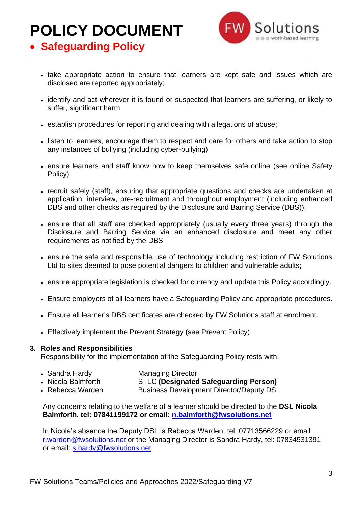

• **Safeguarding Policy**

- take appropriate action to ensure that learners are kept safe and issues which are disclosed are reported appropriately;
- identify and act wherever it is found or suspected that learners are suffering, or likely to suffer, significant harm;
- establish procedures for reporting and dealing with allegations of abuse;
- listen to learners, encourage them to respect and care for others and take action to stop any instances of bullying (including cyber-bullying)
- ensure learners and staff know how to keep themselves safe online (see online Safety Policy)
- recruit safely (staff), ensuring that appropriate questions and checks are undertaken at application, interview, pre-recruitment and throughout employment (including enhanced DBS and other checks as required by the Disclosure and Barring Service (DBS));
- ensure that all staff are checked appropriately (usually every three years) through the Disclosure and Barring Service via an enhanced disclosure and meet any other requirements as notified by the DBS.
- ensure the safe and responsible use of technology including restriction of FW Solutions Ltd to sites deemed to pose potential dangers to children and vulnerable adults;
- ensure appropriate legislation is checked for currency and update this Policy accordingly.
- Ensure employers of all learners have a Safeguarding Policy and appropriate procedures.
- Ensure all learner's DBS certificates are checked by FW Solutions staff at enrolment.
- Effectively implement the Prevent Strategy (see Prevent Policy)

#### **3. Roles and Responsibilities**

Responsibility for the implementation of the Safeguarding Policy rests with:

- Sandra Hardy Managing Director
- Nicola Balmforth STLC **(Designated Safeguarding Person)**
- Rebecca Warden Business Development Director/Deputy DSL

Any concerns relating to the welfare of a learner should be directed to the **DSL Nicola Balmforth, tel: 07841199172 or email: [n.balmforth@fwsolutions.net](mailto:n.balmforth@fwsolutions.net)**

In Nicola's absence the Deputy DSL is Rebecca Warden, tel: 07713566229 or email [r.warden@fwsolutions.net](mailto:r.warden@fwsolutions.net) or the Managing Director is Sandra Hardy, [tel: 07834531391](mailto:tel:%2007834531391) or email: s.hardy@fwsolutions.net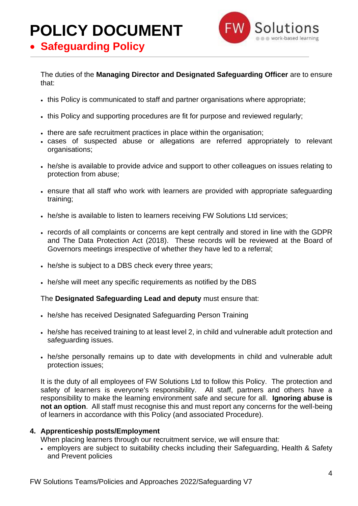

• **Safeguarding Policy**

The duties of the **Managing Director and Designated Safeguarding Officer** are to ensure that:

- this Policy is communicated to staff and partner organisations where appropriate;
- this Policy and supporting procedures are fit for purpose and reviewed regularly;
- there are safe recruitment practices in place within the organisation;
- cases of suspected abuse or allegations are referred appropriately to relevant organisations;
- he/she is available to provide advice and support to other colleagues on issues relating to protection from abuse;
- ensure that all staff who work with learners are provided with appropriate safeguarding training;
- he/she is available to listen to learners receiving FW Solutions Ltd services;
- records of all complaints or concerns are kept centrally and stored in line with the GDPR and The Data Protection Act (2018). These records will be reviewed at the Board of Governors meetings irrespective of whether they have led to a referral;
- he/she is subject to a DBS check every three years;
- he/she will meet any specific requirements as notified by the DBS

#### The **Designated Safeguarding Lead and deputy** must ensure that:

- he/she has received Designated Safeguarding Person Training
- he/she has received training to at least level 2, in child and vulnerable adult protection and safeguarding issues.
- he/she personally remains up to date with developments in child and vulnerable adult protection issues;

It is the duty of all employees of FW Solutions Ltd to follow this Policy. The protection and safety of learners is everyone's responsibility. All staff, partners and others have a responsibility to make the learning environment safe and secure for all. **Ignoring abuse is not an option**. All staff must recognise this and must report any concerns for the well-being of learners in accordance with this Policy (and associated Procedure).

#### **4. Apprenticeship posts/Employment**

When placing learners through our recruitment service, we will ensure that:

• employers are subject to suitability checks including their Safeguarding, Health & Safety and Prevent policies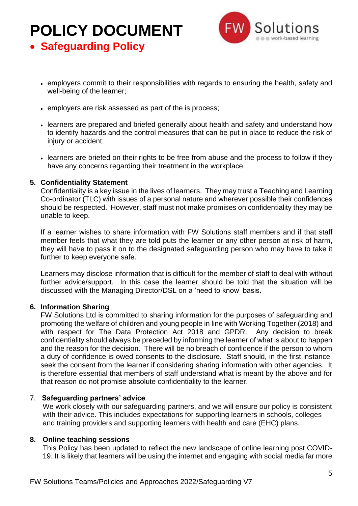

• **Safeguarding Policy**

- employers commit to their responsibilities with regards to ensuring the health, safety and well-being of the learner;
- employers are risk assessed as part of the is process;
- learners are prepared and briefed generally about health and safety and understand how to identify hazards and the control measures that can be put in place to reduce the risk of injury or accident;
- learners are briefed on their rights to be free from abuse and the process to follow if they have any concerns regarding their treatment in the workplace.

#### **5. Confidentiality Statement**

Confidentiality is a key issue in the lives of learners. They may trust a Teaching and Learning Co-ordinator (TLC) with issues of a personal nature and wherever possible their confidences should be respected. However, staff must not make promises on confidentiality they may be unable to keep.

If a learner wishes to share information with FW Solutions staff members and if that staff member feels that what they are told puts the learner or any other person at risk of harm, they will have to pass it on to the designated safeguarding person who may have to take it further to keep everyone safe.

Learners may disclose information that is difficult for the member of staff to deal with without further advice/support. In this case the learner should be told that the situation will be discussed with the Managing Director/DSL on a 'need to know' basis.

#### **6. Information Sharing**

FW Solutions Ltd is committed to sharing information for the purposes of safeguarding and promoting the welfare of children and young people in line with Working Together (2018) and with respect for The Data Protection Act 2018 and GPDR. Any decision to break confidentiality should always be preceded by informing the learner of what is about to happen and the reason for the decision. There will be no breach of confidence if the person to whom a duty of confidence is owed consents to the disclosure. Staff should, in the first instance, seek the consent from the learner if considering sharing information with other agencies. It is therefore essential that members of staff understand what is meant by the above and for that reason do not promise absolute confidentiality to the learner.

#### 7. **Safeguarding partners' advice**

We work closely with our safeguarding partners, and we will ensure our policy is consistent with their advice. This includes expectations for supporting learners in schools, colleges and training providers and supporting learners with health and care (EHC) plans.

#### **8. Online teaching sessions**

This Policy has been updated to reflect the new landscape of online learning post COVID-19. It is likely that learners will be using the internet and engaging with social media far more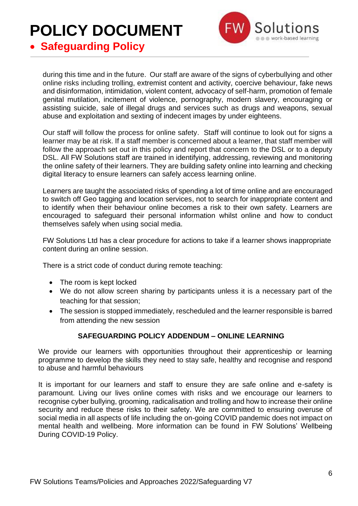

• **Safeguarding Policy**

during this time and in the future. Our staff are aware of the signs of cyberbullying and other online risks including trolling, extremist content and activity, coercive behaviour, fake news and disinformation, intimidation, violent content, advocacy of self-harm, promotion of female genital mutilation, incitement of violence, pornography, modern slavery, encouraging or assisting suicide, sale of illegal drugs and services such as drugs and weapons, sexual abuse and exploitation and sexting of indecent images by under eighteens.

Our staff will follow the process for online safety. Staff will continue to look out for signs a learner may be at risk. If a staff member is concerned about a learner, that staff member will follow the approach set out in this policy and report that concern to the DSL or to a deputy DSL. All FW Solutions staff are trained in identifying, addressing, reviewing and monitoring the online safety of their learners. They are building safety online into learning and checking digital literacy to ensure learners can safely access learning online.

Learners are taught the associated risks of spending a lot of time online and are encouraged to switch off Geo tagging and location services, not to search for inappropriate content and to identify when their behaviour online becomes a risk to their own safety. Learners are encouraged to safeguard their personal information whilst online and how to conduct themselves safely when using social media.

FW Solutions Ltd has a clear procedure for actions to take if a learner shows inappropriate content during an online session.

There is a strict code of conduct during remote teaching:

- The room is kept locked
- We do not allow screen sharing by participants unless it is a necessary part of the teaching for that session;
- The session is stopped immediately, rescheduled and the learner responsible is barred from attending the new session

#### **SAFEGUARDING POLICY ADDENDUM – ONLINE LEARNING**

We provide our learners with opportunities throughout their apprenticeship or learning programme to develop the skills they need to stay safe, healthy and recognise and respond to abuse and harmful behaviours

It is important for our learners and staff to ensure they are safe online and e-safety is paramount. Living our lives online comes with risks and we encourage our learners to recognise cyber bullying, grooming, radicalisation and trolling and how to increase their online security and reduce these risks to their safety. We are committed to ensuring overuse of social media in all aspects of life including the on-going COVID pandemic does not impact on mental health and wellbeing. More information can be found in FW Solutions' Wellbeing During COVID-19 Policy.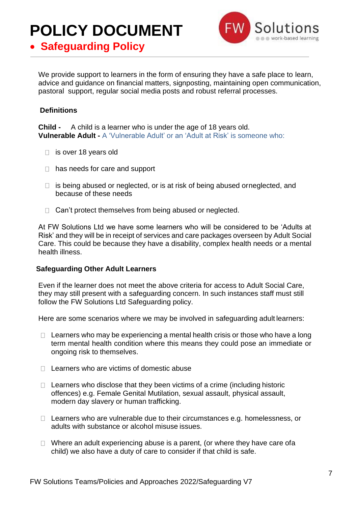

• **Safeguarding Policy**

We provide support to learners in the form of ensuring they have a safe place to learn, advice and guidance on financial matters, signposting, maintaining open communication, pastoral support, regular social media posts and robust referral processes.

#### **Definitions**

**Child -** A child is a learner who is under the age of 18 years old. **Vulnerable Adult -** A 'Vulnerable Adult' or an 'Adult at Risk' is someone who:

- □ is over 18 years old
- $\Box$  has needs for care and support
- $\Box$  is being abused or neglected, or is at risk of being abused orneglected, and because of these needs
- $\Box$  Can't protect themselves from being abused or neglected.

At FW Solutions Ltd we have some learners who will be considered to be 'Adults at Risk' and they will be in receipt of services and care packages overseen by Adult Social Care. This could be because they have a disability, complex health needs or a mental health illness.

#### **Safeguarding Other Adult Learners**

Even if the learner does not meet the above criteria for access to Adult Social Care, they may still present with a safeguarding concern. In such instances staff must still follow the FW Solutions Ltd Safeguarding policy.

Here are some scenarios where we may be involved in safeguarding adult learners:

- $\Box$  Learners who may be experiencing a mental health crisis or those who have a long term mental health condition where this means they could pose an immediate or ongoing risk to themselves.
- $\Box$  Learners who are victims of domestic abuse
- $\Box$  Learners who disclose that they been victims of a crime (including historic offences) e.g. Female Genital Mutilation, sexual assault, physical assault, modern day slavery or human trafficking.
- $\Box$  Learners who are vulnerable due to their circumstances e.g. homelessness, or adults with substance or alcohol misuse issues.
- $\Box$  Where an adult experiencing abuse is a parent, (or where they have care of a child) we also have a duty of care to consider if that child is safe.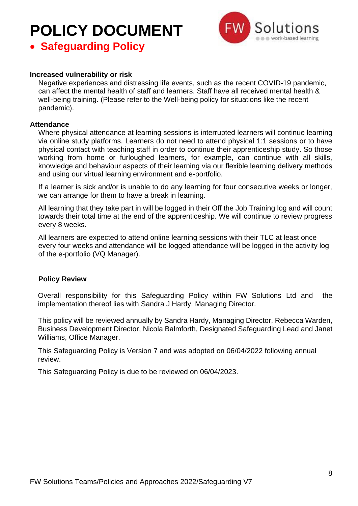

### • **Safeguarding Policy**

#### **Increased vulnerability or risk**

Negative experiences and distressing life events, such as the recent COVID-19 pandemic, can affect the mental health of staff and learners. Staff have all received mental health & well-being training. (Please refer to the Well-being policy for situations like the recent pandemic).

#### **Attendance**

Where physical attendance at learning sessions is interrupted learners will continue learning via online study platforms. Learners do not need to attend physical 1:1 sessions or to have physical contact with teaching staff in order to continue their apprenticeship study. So those working from home or furloughed learners, for example, can continue with all skills, knowledge and behaviour aspects of their learning via our flexible learning delivery methods and using our virtual learning environment and e-portfolio.

If a learner is sick and/or is unable to do any learning for four consecutive weeks or longer, we can arrange for them to have a break in learning.

All learning that they take part in will be logged in their Off the Job Training log and will count towards their total time at the end of the apprenticeship. We will continue to review progress every 8 weeks.

All learners are expected to attend online learning sessions with their TLC at least once every four weeks and attendance will be logged attendance will be logged in the activity log of the e-portfolio (VQ Manager).

#### **Policy Review**

Overall responsibility for this Safeguarding Policy within FW Solutions Ltd and the implementation thereof lies with Sandra J Hardy, Managing Director.

This policy will be reviewed annually by Sandra Hardy, Managing Director, Rebecca Warden, Business Development Director, Nicola Balmforth, Designated Safeguarding Lead and Janet Williams, Office Manager.

This Safeguarding Policy is Version 7 and was adopted on 06/04/2022 following annual review.

This Safeguarding Policy is due to be reviewed on 06/04/2023.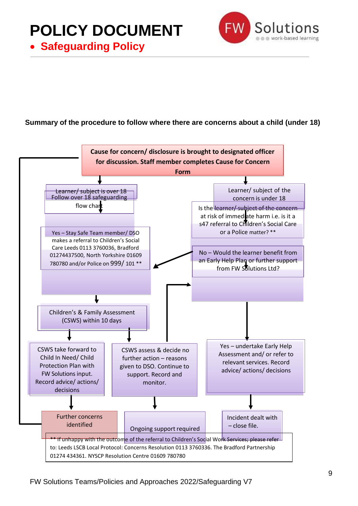• **Safeguarding Policy**



#### **Summary of the procedure to follow where there are concerns about a child (under 18)**

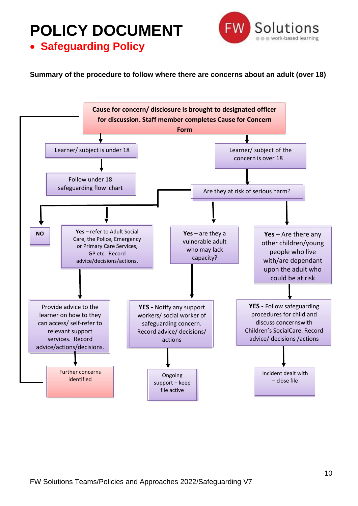• **Safeguarding Policy**



**Summary of the procedure to follow where there are concerns about an adult (over 18)**

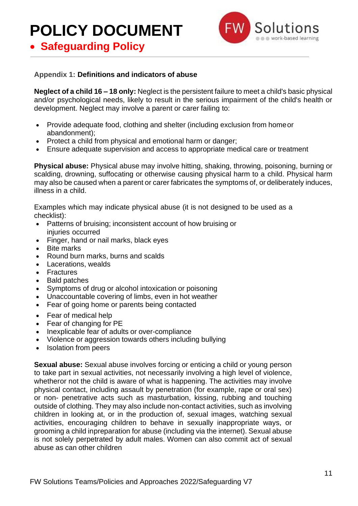• **Safeguarding Policy**



#### **Appendix 1: Definitions and indicators of abuse**

**Neglect of a child 16 – 18 only:** Neglect is the persistent failure to meet a child's basic physical and/or psychological needs, likely to result in the serious impairment of the child's health or development. Neglect may involve a parent or carer failing to:

- Provide adequate food, clothing and shelter (including exclusion from home or abandonment);
- Protect a child from physical and emotional harm or danger;
- Ensure adequate supervision and access to appropriate medical care or treatment

**Physical abuse:** Physical abuse may involve hitting, shaking, throwing, poisoning, burning or scalding, drowning, suffocating or otherwise causing physical harm to a child. Physical harm may also be caused when a parent or carer fabricates the symptoms of, or deliberately induces, illness in a child.

Examples which may indicate physical abuse (it is not designed to be used as a checklist):

- Patterns of bruising; inconsistent account of how bruising or injuries occurred
- Finger, hand or nail marks, black eyes
- Bite marks
- Round burn marks, burns and scalds
- Lacerations, wealds
- Fractures
- Bald patches
- Symptoms of drug or alcohol intoxication or poisoning
- Unaccountable covering of limbs, even in hot weather
- Fear of going home or parents being contacted
- Fear of medical help
- Fear of changing for PE
- Inexplicable fear of adults or over-compliance
- Violence or aggression towards others including bullying
- Isolation from peers

**Sexual abuse:** Sexual abuse involves forcing or enticing a child or young person to take part in sexual activities, not necessarily involving a high level of violence, whetheror not the child is aware of what is happening. The activities may involve physical contact, including assault by penetration (for example, rape or oral sex) or non- penetrative acts such as masturbation, kissing, rubbing and touching outside of clothing. They may also include non-contact activities, such as involving children in looking at, or in the production of, sexual images, watching sexual activities, encouraging children to behave in sexually inappropriate ways, or grooming a child inpreparation for abuse (including via the internet). Sexual abuse is not solely perpetrated by adult males. Women can also commit act of sexual abuse as can other children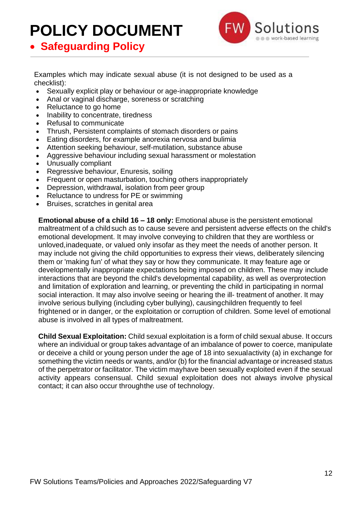

• **Safeguarding Policy**

Examples which may indicate sexual abuse (it is not designed to be used as a checklist):

- Sexually explicit play or behaviour or age-inappropriate knowledge
- Anal or vaginal discharge, soreness or scratching
- Reluctance to go home
- Inability to concentrate, tiredness
- Refusal to communicate
- Thrush, Persistent complaints of stomach disorders or pains
- Eating disorders, for example anorexia nervosa and bulimia
- Attention seeking behaviour, self-mutilation, substance abuse
- Aggressive behaviour including sexual harassment or molestation
- Unusually compliant
- Regressive behaviour, Enuresis, soiling
- Frequent or open masturbation, touching others inappropriately
- Depression, withdrawal, isolation from peer group
- Reluctance to undress for PE or swimming
- Bruises, scratches in genital area

**Emotional abuse of a child 16 – 18 only:** Emotional abuse is the persistent emotional maltreatment of a child such as to cause severe and persistent adverse effects on the child's emotional development. It may involve conveying to children that they are worthless or unloved,inadequate, or valued only insofar as they meet the needs of another person. It may include not giving the child opportunities to express their views, deliberately silencing them or 'making fun' of what they say or how they communicate. It may feature age or developmentally inappropriate expectations being imposed on children. These may include interactions that are beyond the child's developmental capability, as well as overprotection and limitation of exploration and learning, or preventing the child in participating in normal social interaction. It may also involve seeing or hearing the ill- treatment of another. It may involve serious bullying (including cyber bullying), causingchildren frequently to feel frightened or in danger, or the exploitation or corruption of children. Some level of emotional abuse is involved in all types of maltreatment.

**Child Sexual Exploitation:** Child sexual exploitation is a form of child sexual abuse. It occurs where an individual or group takes advantage of an imbalance of power to coerce, manipulate or deceive a child or young person under the age of 18 into sexualactivity (a) in exchange for something the victim needs or wants, and/or (b) for the financial advantage or increased status of the perpetrator or facilitator. The victim mayhave been sexually exploited even if the sexual activity appears consensual. Child sexual exploitation does not always involve physical contact; it can also occur throughthe use of technology.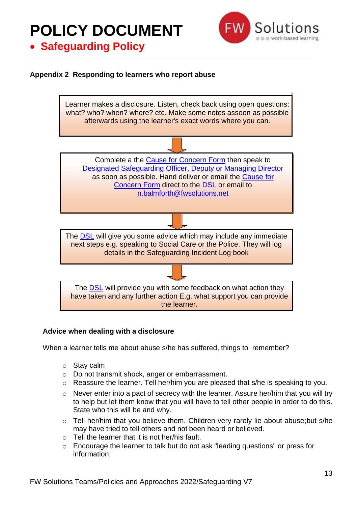### • **Safeguarding Policy**

#### **Appendix 2 Responding to learners who report abuse**



#### **Advice when dealing with a disclosure**

When a learner tells me about abuse s/he has suffered, things to remember?

- o Stay calm
- o Do not transmit shock, anger or embarrassment.
- o Reassure the learner. Tell her/him you are pleased that s/he is speaking to you.
- o Never enter into a pact of secrecy with the learner. Assure her/him that you will try to help but let them know that you will have to tell other people in order to do this. State who this will be and why.
- o Tell her/him that you believe them. Children very rarely lie about abuse;but s/he may have tried to tell others and not been heard or believed.
- $\circ$  Tell the learner that it is not her/his fault.
- o Encourage the learner to talk but do not ask "leading questions" or press for information.